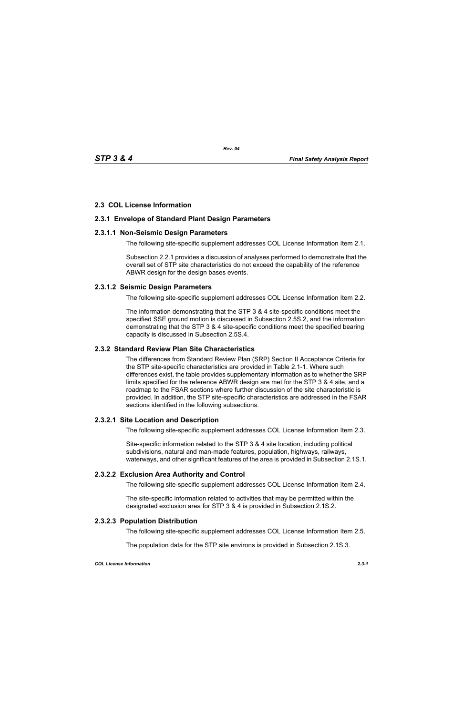## **2.3 COL License Information**

## **2.3.1 Envelope of Standard Plant Design Parameters**

#### **2.3.1.1 Non-Seismic Design Parameters**

The following site-specific supplement addresses COL License Information Item 2.1.

Subsection 2.2.1 provides a discussion of analyses performed to demonstrate that the overall set of STP site characteristics do not exceed the capability of the reference ABWR design for the design bases events.

## **2.3.1.2 Seismic Design Parameters**

The following site-specific supplement addresses COL License Information Item 2.2.

The information demonstrating that the STP 3 & 4 site-specific conditions meet the specified SSE ground motion is discussed in Subsection 2.5S.2, and the information demonstrating that the STP 3 & 4 site-specific conditions meet the specified bearing capacity is discussed in Subsection 2.5S.4.

## **2.3.2 Standard Review Plan Site Characteristics**

The differences from Standard Review Plan (SRP) Section II Acceptance Criteria for the STP site-specific characteristics are provided in Table 2.1-1. Where such differences exist, the table provides supplementary information as to whether the SRP limits specified for the reference ABWR design are met for the STP 3 & 4 site, and a roadmap to the FSAR sections where further discussion of the site characteristic is provided. In addition, the STP site-specific characteristics are addressed in the FSAR sections identified in the following subsections.

## **2.3.2.1 Site Location and Description**

The following site-specific supplement addresses COL License Information Item 2.3.

Site-specific information related to the STP 3 & 4 site location, including political subdivisions, natural and man-made features, population, highways, railways, waterways, and other significant features of the area is provided in Subsection 2.1S.1.

## **2.3.2.2 Exclusion Area Authority and Control**

The following site-specific supplement addresses COL License Information Item 2.4.

The site-specific information related to activities that may be permitted within the designated exclusion area for STP 3 & 4 is provided in Subsection 2.1S.2.

## **2.3.2.3 Population Distribution**

The following site-specific supplement addresses COL License Information Item 2.5.

The population data for the STP site environs is provided in Subsection 2.1S.3.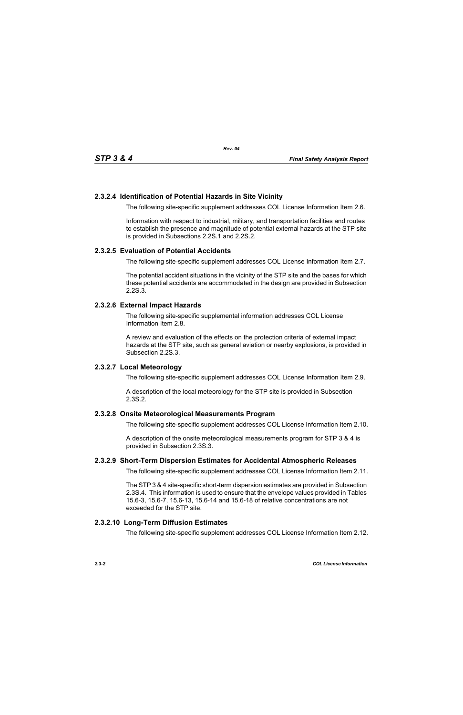## **2.3.2.4 Identification of Potential Hazards in Site Vicinity**

The following site-specific supplement addresses COL License Information Item 2.6.

Information with respect to industrial, military, and transportation facilities and routes to establish the presence and magnitude of potential external hazards at the STP site is provided in Subsections 2.2S.1 and 2.2S.2.

#### **2.3.2.5 Evaluation of Potential Accidents**

The following site-specific supplement addresses COL License Information Item 2.7.

The potential accident situations in the vicinity of the STP site and the bases for which these potential accidents are accommodated in the design are provided in Subsection 2.2S.3.

#### **2.3.2.6 External Impact Hazards**

The following site-specific supplemental information addresses COL License Information Item 2.8.

A review and evaluation of the effects on the protection criteria of external impact hazards at the STP site, such as general aviation or nearby explosions, is provided in Subsection 2.2S.3.

#### **2.3.2.7 Local Meteorology**

The following site-specific supplement addresses COL License Information Item 2.9.

A description of the local meteorology for the STP site is provided in Subsection 2.3S.2.

#### **2.3.2.8 Onsite Meteorological Measurements Program**

The following site-specific supplement addresses COL License Information Item 2.10.

A description of the onsite meteorological measurements program for STP 3 & 4 is provided in Subsection 2.3S.3.

## **2.3.2.9 Short-Term Dispersion Estimates for Accidental Atmospheric Releases**

The following site-specific supplement addresses COL License Information Item 2.11.

The STP 3 & 4 site-specific short-term dispersion estimates are provided in Subsection 2.3S.4. This information is used to ensure that the envelope values provided in Tables 15.6-3, 15.6-7, 15.6-13, 15.6-14 and 15.6-18 of relative concentrations are not exceeded for the STP site.

## **2.3.2.10 Long-Term Diffusion Estimates**

The following site-specific supplement addresses COL License Information Item 2.12.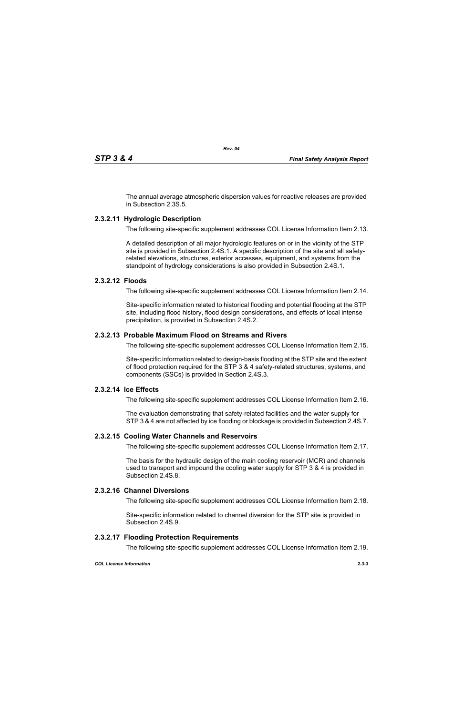The annual average atmospheric dispersion values for reactive releases are provided in Subsection 2.3S.5.

# **2.3.2.11 Hydrologic Description**

The following site-specific supplement addresses COL License Information Item 2.13.

A detailed description of all major hydrologic features on or in the vicinity of the STP site is provided in Subsection 2.4S.1. A specific description of the site and all safetyrelated elevations, structures, exterior accesses, equipment, and systems from the standpoint of hydrology considerations is also provided in Subsection 2.4S.1.

## **2.3.2.12 Floods**

The following site-specific supplement addresses COL License Information Item 2.14.

Site-specific information related to historical flooding and potential flooding at the STP site, including flood history, flood design considerations, and effects of local intense precipitation, is provided in Subsection 2.4S.2.

## **2.3.2.13 Probable Maximum Flood on Streams and Rivers**

The following site-specific supplement addresses COL License Information Item 2.15.

Site-specific information related to design-basis flooding at the STP site and the extent of flood protection required for the STP 3 & 4 safety-related structures, systems, and components (SSCs) is provided in Section 2.4S.3.

## **2.3.2.14 Ice Effects**

The following site-specific supplement addresses COL License Information Item 2.16.

The evaluation demonstrating that safety-related facilities and the water supply for STP 3 & 4 are not affected by ice flooding or blockage is provided in Subsection 2.4S.7.

## **2.3.2.15 Cooling Water Channels and Reservoirs**

The following site-specific supplement addresses COL License Information Item 2.17.

The basis for the hydraulic design of the main cooling reservoir (MCR) and channels used to transport and impound the cooling water supply for STP 3 & 4 is provided in Subsection 2.4S.8.

## **2.3.2.16 Channel Diversions**

The following site-specific supplement addresses COL License Information Item 2.18.

Site-specific information related to channel diversion for the STP site is provided in Subsection 2.4S.9.

## **2.3.2.17 Flooding Protection Requirements**

The following site-specific supplement addresses COL License Information Item 2.19.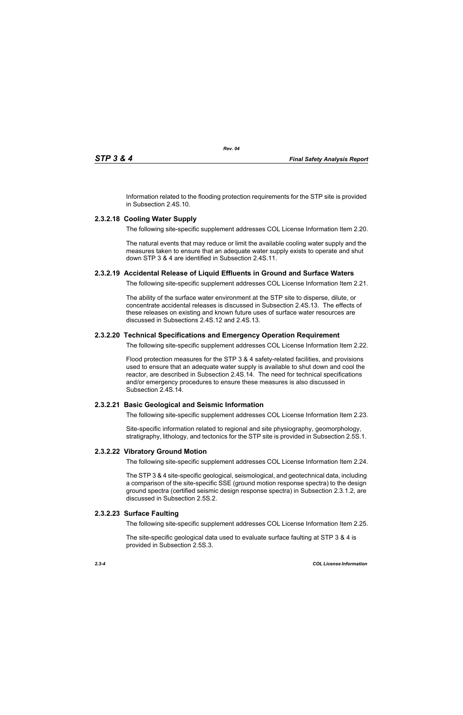Information related to the flooding protection requirements for the STP site is provided in Subsection 2.4S.10.

# **2.3.2.18 Cooling Water Supply**

The following site-specific supplement addresses COL License Information Item 2.20.

The natural events that may reduce or limit the available cooling water supply and the measures taken to ensure that an adequate water supply exists to operate and shut down STP 3 & 4 are identified in Subsection 2.4S.11.

# **2.3.2.19 Accidental Release of Liquid Effluents in Ground and Surface Waters**

The following site-specific supplement addresses COL License Information Item 2.21.

The ability of the surface water environment at the STP site to disperse, dilute, or concentrate accidental releases is discussed in Subsection 2.4S.13. The effects of these releases on existing and known future uses of surface water resources are discussed in Subsections 2.4S.12 and 2.4S.13.

# **2.3.2.20 Technical Specifications and Emergency Operation Requirement**

The following site-specific supplement addresses COL License Information Item 2.22.

Flood protection measures for the STP 3 & 4 safety-related facilities, and provisions used to ensure that an adequate water supply is available to shut down and cool the reactor, are described in Subsection 2.4S.14. The need for technical specifications and/or emergency procedures to ensure these measures is also discussed in Subsection 2.4S.14.

# **2.3.2.21 Basic Geological and Seismic Information**

The following site-specific supplement addresses COL License Information Item 2.23.

Site-specific information related to regional and site physiography, geomorphology, stratigraphy, lithology, and tectonics for the STP site is provided in Subsection 2.5S.1.

# **2.3.2.22 Vibratory Ground Motion**

The following site-specific supplement addresses COL License Information Item 2.24.

The STP 3 & 4 site-specific geological, seismological, and geotechnical data, including a comparison of the site-specific SSE (ground motion response spectra) to the design ground spectra (certified seismic design response spectra) in Subsection 2.3.1.2, are discussed in Subsection 2.5S.2.

# **2.3.2.23 Surface Faulting**

The following site-specific supplement addresses COL License Information Item 2.25.

The site-specific geological data used to evaluate surface faulting at STP 3 & 4 is provided in Subsection 2.5S.3.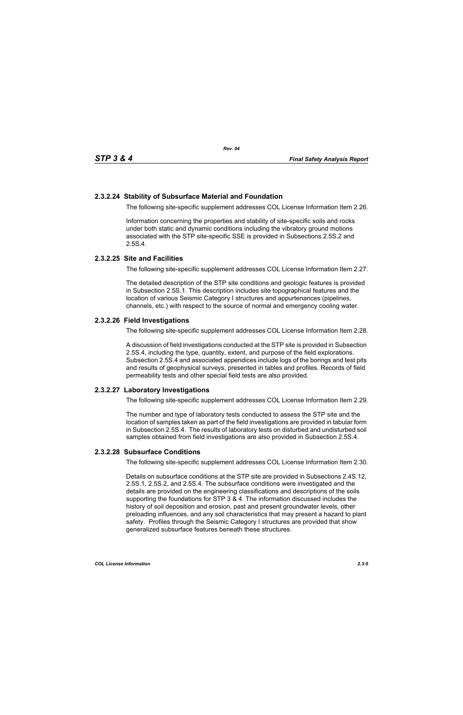## **2.3.2.24 Stability of Subsurface Material and Foundation**

The following site-specific supplement addresses COL License Information Item 2.26.

Information concerning the properties and stability of site-specific soils and rocks under both static and dynamic conditions including the vibratory ground motions associated with the STP site-specific SSE is provided in Subsections 2.5S.2 and 2.5S.4.

## **2.3.2.25 Site and Facilities**

The following site-specific supplement addresses COL License Information Item 2.27.

The detailed description of the STP site conditions and geologic features is provided in Subsection 2.5S.1. This description includes site topographical features and the location of various Seismic Category I structures and appurtenances (pipelines, channels, etc.) with respect to the source of normal and emergency cooling water.

## **2.3.2.26 Field Investigations**

The following site-specific supplement addresses COL License Information Item 2.28.

A discussion of field investigations conducted at the STP site is provided in Subsection 2.5S.4, including the type, quantity, extent, and purpose of the field explorations. Subsection 2.5S.4 and associated appendices include logs of the borings and test pits and results of geophysical surveys, presented in tables and profiles. Records of field permeability tests and other special field tests are also provided.

## **2.3.2.27 Laboratory Investigations**

The following site-specific supplement addresses COL License Information Item 2.29.

The number and type of laboratory tests conducted to assess the STP site and the location of samples taken as part of the field investigations are provided in tabular form in Subsection 2.5S.4. The results of laboratory tests on disturbed and undisturbed soil samples obtained from field investigations are also provided in Subsection 2.5S.4.

## **2.3.2.28 Subsurface Conditions**

The following site-specific supplement addresses COL License Information Item 2.30.

Details on subsurface conditions at the STP site are provided in Subsections 2.4S.12, 2.5S.1, 2.5S.2, and 2.5S.4. The subsurface conditions were investigated and the details are provided on the engineering classifications and descriptions of the soils supporting the foundations for STP 3 & 4. The information discussed includes the history of soil deposition and erosion, past and present groundwater levels, other preloading influences, and any soil characteristics that may present a hazard to plant safety. Profiles through the Seismic Category I structures are provided that show generalized subsurface features beneath these structures.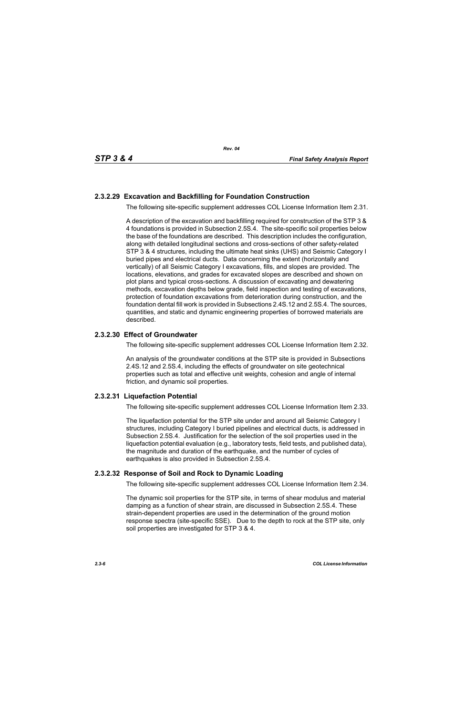## **2.3.2.29 Excavation and Backfilling for Foundation Construction**

The following site-specific supplement addresses COL License Information Item 2.31.

A description of the excavation and backfilling required for construction of the STP 3 & 4 foundations is provided in Subsection 2.5S.4. The site-specific soil properties below the base of the foundations are described. This description includes the configuration, along with detailed longitudinal sections and cross-sections of other safety-related STP 3 & 4 structures, including the ultimate heat sinks (UHS) and Seismic Category I buried pipes and electrical ducts. Data concerning the extent (horizontally and vertically) of all Seismic Category I excavations, fills, and slopes are provided. The locations, elevations, and grades for excavated slopes are described and shown on plot plans and typical cross-sections. A discussion of excavating and dewatering methods, excavation depths below grade, field inspection and testing of excavations, protection of foundation excavations from deterioration during construction, and the foundation dental fill work is provided in Subsections 2.4S.12 and 2.5S.4. The sources, quantities, and static and dynamic engineering properties of borrowed materials are described.

## **2.3.2.30 Effect of Groundwater**

The following site-specific supplement addresses COL License Information Item 2.32.

An analysis of the groundwater conditions at the STP site is provided in Subsections 2.4S.12 and 2.5S.4, including the effects of groundwater on site geotechnical properties such as total and effective unit weights, cohesion and angle of internal friction, and dynamic soil properties.

## **2.3.2.31 Liquefaction Potential**

The following site-specific supplement addresses COL License Information Item 2.33.

The liquefaction potential for the STP site under and around all Seismic Category I structures, including Category I buried pipelines and electrical ducts, is addressed in Subsection 2.5S.4. Justification for the selection of the soil properties used in the liquefaction potential evaluation (e.g., laboratory tests, field tests, and published data), the magnitude and duration of the earthquake, and the number of cycles of earthquakes is also provided in Subsection 2.5S.4.

## **2.3.2.32 Response of Soil and Rock to Dynamic Loading**

The following site-specific supplement addresses COL License Information Item 2.34.

The dynamic soil properties for the STP site, in terms of shear modulus and material damping as a function of shear strain, are discussed in Subsection 2.5S.4. These strain-dependent properties are used in the determination of the ground motion response spectra (site-specific SSE). Due to the depth to rock at the STP site, only soil properties are investigated for STP 3 & 4.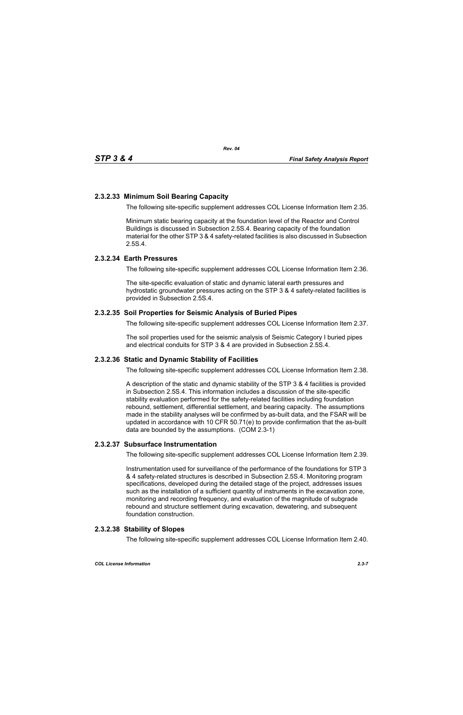#### **2.3.2.33 Minimum Soil Bearing Capacity**

The following site-specific supplement addresses COL License Information Item 2.35.

Minimum static bearing capacity at the foundation level of the Reactor and Control Buildings is discussed in Subsection 2.5S.4. Bearing capacity of the foundation material for the other STP 3 & 4 safety-related facilities is also discussed in Subsection 2.5S.4.

#### **2.3.2.34 Earth Pressures**

The following site-specific supplement addresses COL License Information Item 2.36.

The site-specific evaluation of static and dynamic lateral earth pressures and hydrostatic groundwater pressures acting on the STP 3 & 4 safety-related facilities is provided in Subsection 2.5S.4.

#### **2.3.2.35 Soil Properties for Seismic Analysis of Buried Pipes**

The following site-specific supplement addresses COL License Information Item 2.37.

The soil properties used for the seismic analysis of Seismic Category I buried pipes and electrical conduits for STP 3 & 4 are provided in Subsection 2.5S.4.

#### **2.3.2.36 Static and Dynamic Stability of Facilities**

The following site-specific supplement addresses COL License Information Item 2.38.

A description of the static and dynamic stability of the STP 3 & 4 facilities is provided in Subsection 2.5S.4. This information includes a discussion of the site-specific stability evaluation performed for the safety-related facilities including foundation rebound, settlement, differential settlement, and bearing capacity. The assumptions made in the stability analyses will be confirmed by as-built data, and the FSAR will be updated in accordance with 10 CFR 50.71(e) to provide confirmation that the as-built data are bounded by the assumptions. (COM 2.3-1)

#### **2.3.2.37 Subsurface Instrumentation**

The following site-specific supplement addresses COL License Information Item 2.39.

Instrumentation used for surveillance of the performance of the foundations for STP 3 & 4 safety-related structures is described in Subsection 2.5S.4. Monitoring program specifications, developed during the detailed stage of the project, addresses issues such as the installation of a sufficient quantity of instruments in the excavation zone, monitoring and recording frequency, and evaluation of the magnitude of subgrade rebound and structure settlement during excavation, dewatering, and subsequent foundation construction.

#### **2.3.2.38 Stability of Slopes**

The following site-specific supplement addresses COL License Information Item 2.40.